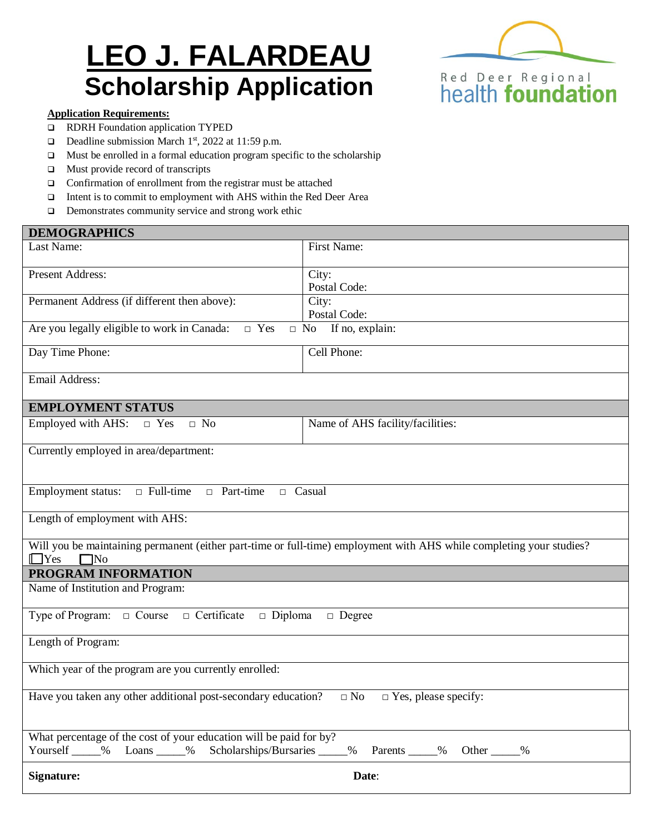# **LEO J. FALARDEAU Scholarship Application**



#### **Application Requirements:**

- RDRH Foundation application TYPED
- Deadline submission March  $1<sup>st</sup>$ , 2022 at 11:59 p.m.
- $\Box$  Must be enrolled in a formal education program specific to the scholarship
- $\Box$  Must provide record of transcripts
- $\Box$  Confirmation of enrollment from the registrar must be attached
- Intent is to commit to employment with AHS within the Red Deer Area
- $\Box$  Demonstrates community service and strong work ethic

| <b>DEMOGRAPHICS</b>                                                                                                                                              |                                  |  |
|------------------------------------------------------------------------------------------------------------------------------------------------------------------|----------------------------------|--|
| Last Name:                                                                                                                                                       | First Name:                      |  |
| Present Address:                                                                                                                                                 | City:<br>Postal Code:            |  |
| Permanent Address (if different then above):                                                                                                                     | City:<br>Postal Code:            |  |
| Are you legally eligible to work in Canada:<br>$\Box$ Yes<br>If no, explain:<br>$\Box$ No                                                                        |                                  |  |
| Day Time Phone:                                                                                                                                                  | Cell Phone:                      |  |
| Email Address:                                                                                                                                                   |                                  |  |
| <b>EMPLOYMENT STATUS</b>                                                                                                                                         |                                  |  |
| Employed with AHS:<br>$\hfill \Box$ No<br>$\Box$ Yes                                                                                                             | Name of AHS facility/facilities: |  |
| Currently employed in area/department:                                                                                                                           |                                  |  |
| $\Box$ Full-time<br>Employment status:<br>$\Box$ Part-time<br>$\Box$ Casual                                                                                      |                                  |  |
| Length of employment with AHS:                                                                                                                                   |                                  |  |
| Will you be maintaining permanent (either part-time or full-time) employment with AHS while completing your studies?<br>$\Box$ Yes<br>$\Box$ No                  |                                  |  |
| PROGRAM INFORMATION                                                                                                                                              |                                  |  |
| Name of Institution and Program:                                                                                                                                 |                                  |  |
| Type of Program: $\Box$ Course<br>□ Certificate<br>$\Box$ Diploma<br>$\Box$ Degree                                                                               |                                  |  |
| Length of Program:                                                                                                                                               |                                  |  |
| Which year of the program are you currently enrolled:                                                                                                            |                                  |  |
| Have you taken any other additional post-secondary education?<br>$\Box$ No<br>$\hfill\Box$<br>Yes, please specify:                                               |                                  |  |
| What percentage of the cost of your education will be paid for by?<br>Yourself _____% Loans ____% Scholarships/Bursaries _____<br>_% Parents _____% Other _____% |                                  |  |
| <b>Signature:</b><br>Date:                                                                                                                                       |                                  |  |
|                                                                                                                                                                  |                                  |  |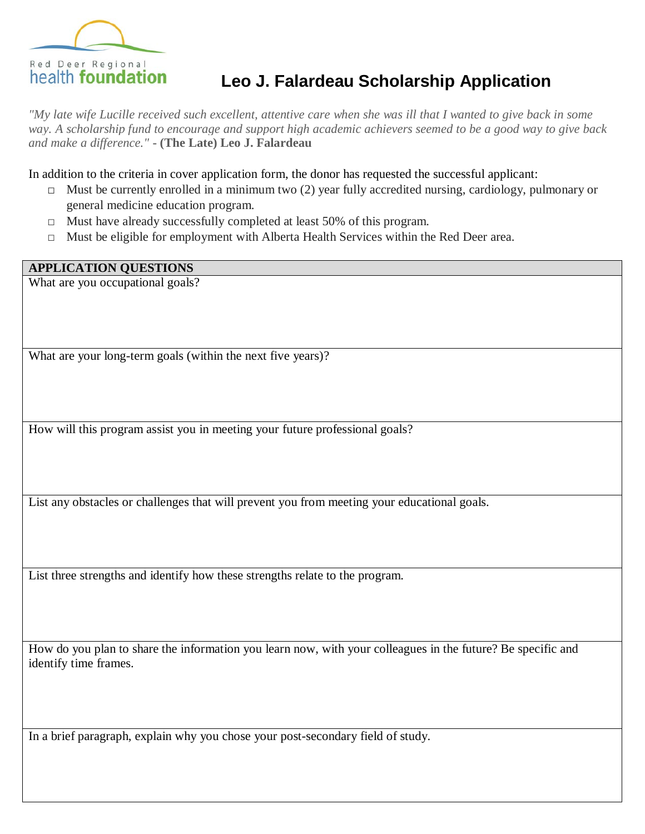

# **Leo J. Falardeau Scholarship Application**

*"My late wife Lucille received such excellent, attentive care when she was ill that I wanted to give back in some way. A scholarship fund to encourage and support high academic achievers seemed to be a good way to give back and make a difference."* **- (The Late) Leo J. Falardeau**

In addition to the criteria in cover application form, the donor has requested the successful applicant:

- $\Box$  Must be currently enrolled in a minimum two (2) year fully accredited nursing, cardiology, pulmonary or general medicine education program.
- $\Box$  Must have already successfully completed at least 50% of this program.
- □ Must be eligible for employment with Alberta Health Services within the Red Deer area.

**APPLICATION QUESTIONS**

What are you occupational goals?

What are your long-term goals (within the next five years)?

How will this program assist you in meeting your future professional goals?

List any obstacles or challenges that will prevent you from meeting your educational goals.

List three strengths and identify how these strengths relate to the program.

How do you plan to share the information you learn now, with your colleagues in the future? Be specific and identify time frames.

In a brief paragraph, explain why you chose your post-secondary field of study.